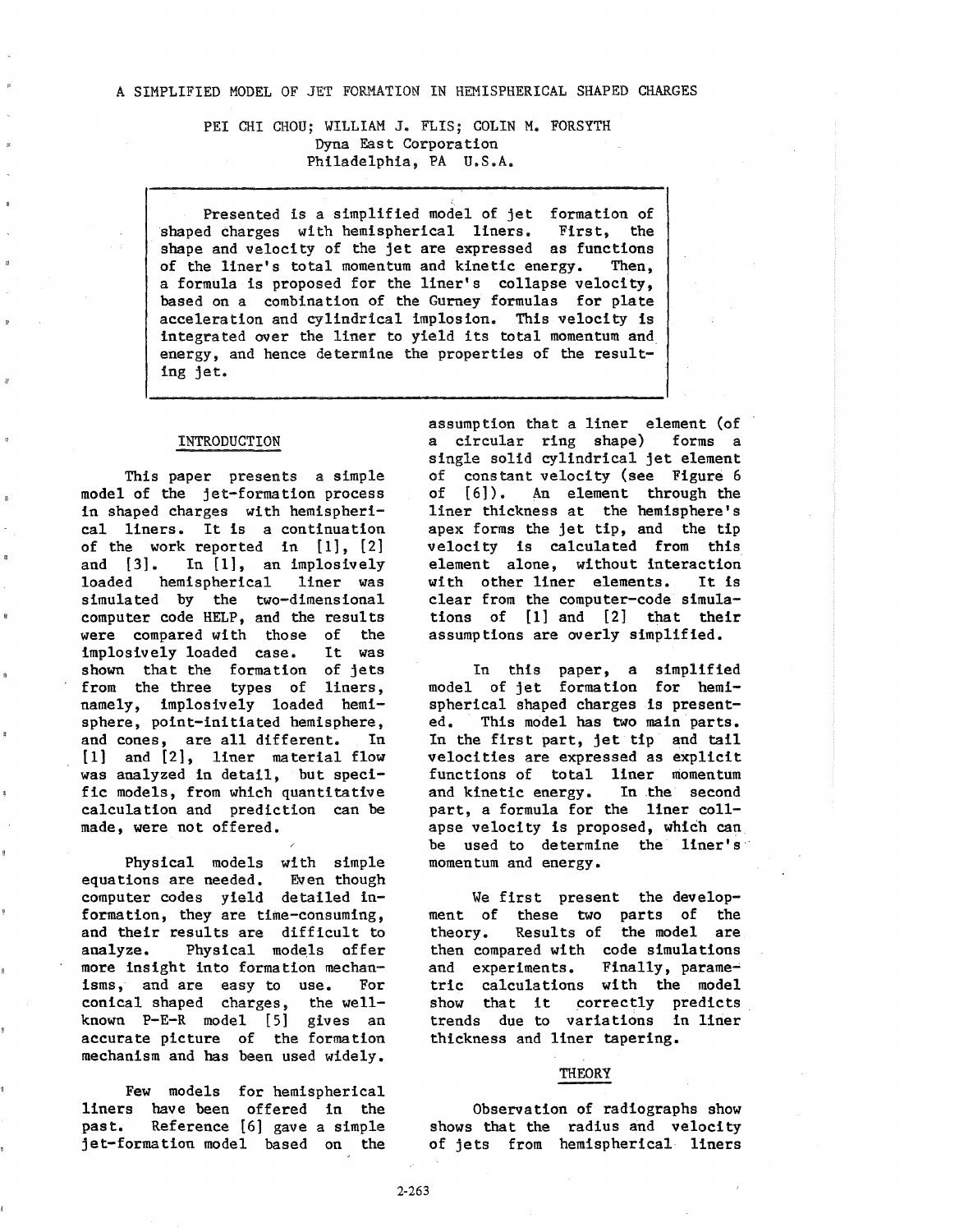PEI CHI CHOU: WILLIAM J. FLIS: COLIN M. FORSYTH Dyna East Corporation Philadelphia, PA U.S.A.

Presented is a simplified model of jet formation of<br>d charges with hemispherical liners. First, the shaped charges with hemispherical liners. shape and velocity of the jet are expressed as functions<br>of the liner's total momentum and kinetic energy. Then. of the liner's total momentum and kinetic energy. a formula is proposed for the liner's collapse velocity, based on a combination of the Gurney formulas for plate acceleration and cylindrical implosion. This velocity is integrated over the liner to yield its total momentum and energy, and hence determine the properties of the resulting jet.

## INTRODUCTION

This paper presents a simple model of the jet-formation process in shaped charges with hemispherical liners. It is a continuation of the work reported in  $[1]$ ,  $[2]$ <br>and  $[3]$ . In  $[1]$ , an implosively In [1], an implosively loaded hemispherical liner was simulated by the two-dimensional computer code HELP, and the results<br>were compared with those of the were compared with those of implosively loaded case. It was shown that the formation of jets from the three types of liners, namely, implosively loaded hemisphere, point-initiated hemisphere, and cones, are all different. In (1] and (2], liner material flow was analyzed in detail, but specific models, from which quantitative calculation and prediction can be made, were not offered.

Physical models with simple<br>ions are needed. Even though equations are needed. computer codes yield detailed information, they are time-consuming, and their results are difficult to analyze. Physical models affer more insight into formation mechanisms, and are easy to use. For conical shaped charges, the wellknown P-E-R model (5] gives an accurate picture of the formation mechanism and has been used widely.

Few models for hemispherical liners have been offered in the past. Reference (6] gave a simple jet-formation model based on the

assumption that a liner element (of<br>a circular ring shape) forms a a circular ring shape) single solid cylindrical jet element of constant velocity (see Figure 6<br>of [6]). An element through the of [6]). An element through the liner thickness at the hemisphere's apex forms the jet tip, and the tip velocity is calculated from this element alone, without interaction with other liner elements. It is clear from the computer-code simulations of (1] and [2] that their assumptions are overly simplified.

In this paper, a simplified model of jet formation for hemispherical shaped charges is presented. This model has two main parts. In the first part, jet tip and tail velocities are expressed as explicit functions of total liner momentum<br>and kinetic energy. In the second and kinetic energy. part, a formula for the liner collapse velocity is proposed, which can be used to determine the liner's momentum and energy.

We first present the development of these two parts of the theory. Results of the model are then compared with code simulations and experiments. Finally, parametric calculations with the model show that it correctly predicts trends due to variations in liner thickness and liner tapering.

## THEORY

Observation of radiographs show shows that the radius and velocity of jets from hemispherical liners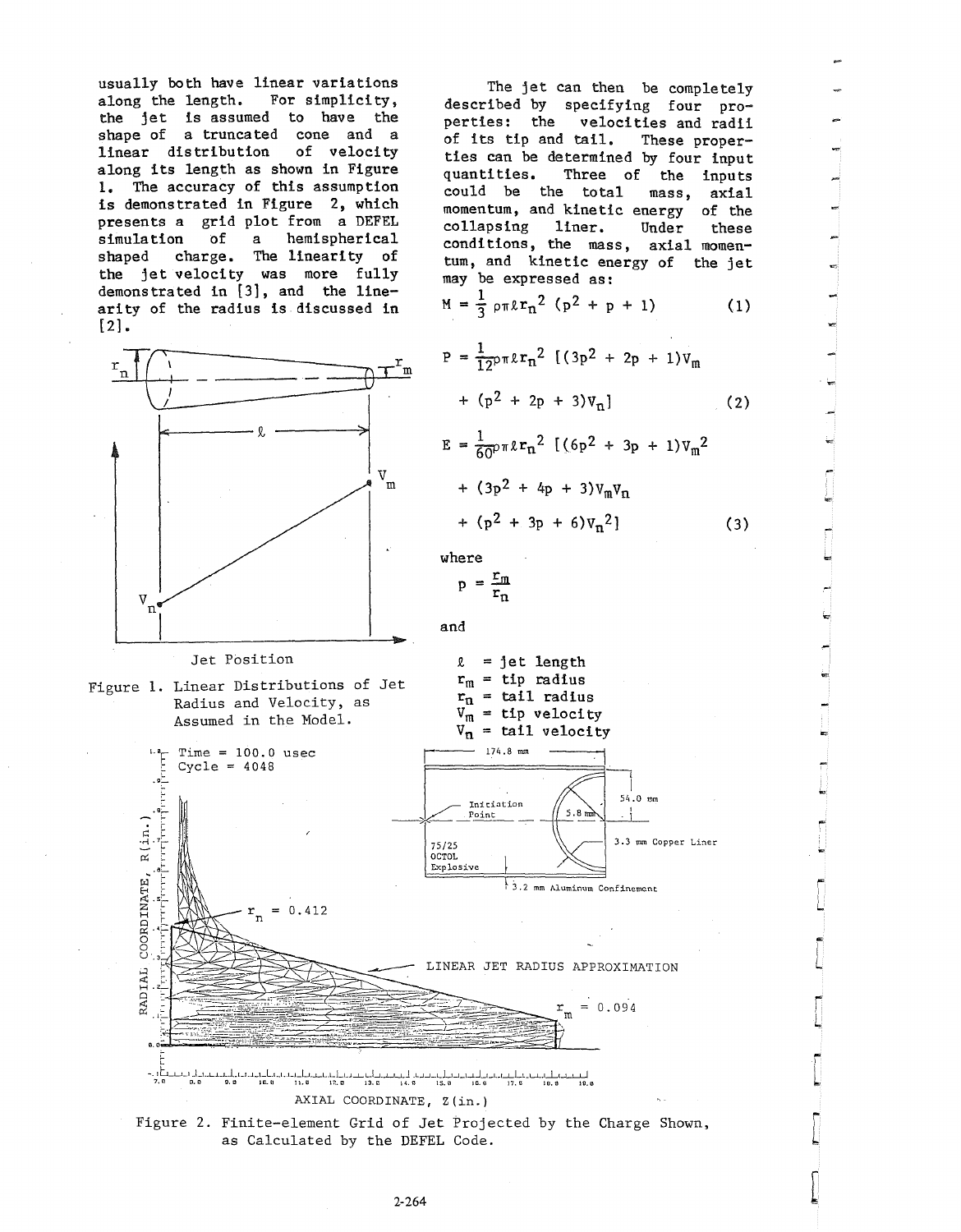usually both have linear variations<br>along the length. For simplicity, along the length. the jet is assumed to have the shape of a truncated cone and a<br>linear distribution of velocity linear distribution along its length as shown in Figure 1. The accuracy of this assumption is demonstrated in Figure 2, which presents a grid plot from a DEFEL simulation of a hemispherical shaped charge. The linearity of the jet velocity was more fully demonstrated in [3], and the linearity of the radius is discussed in [2].



### Jet Position



 $Time = 100.0$  usec Cycle = 4048

 $= 0.412$ 

 $\overline{p}$ 

تا-<br>تا-<br>تا-

.<br>יידן יידוי די

 $R(\text{in.})$ 

COORDINATE,

RADIAL

Ļ,

The jet can then be completely described by specifying four properties: the velocities and radii<br>of its tip and tail. These properof its tip and tail. ties can be determined by four input<br>quantities. Three of the inputs Three of the inputs could be the total mass, axial momentum, and kinetic energy of the<br>collapsing liner. Under these collapsing liner. Under these conditions, the mass, axial momentum, and kinetic energy of the jet

may be expressed as:  
\n
$$
M = \frac{1}{3} \rho \pi \ell r_n^2 (p^2 + p + 1)
$$
 (1)

$$
P = \frac{1}{12}p \pi \ell r_n^2 \left[ (3p^2 + 2p + 1) v_m \right] + (p^2 + 2p + 3) v_n \right]
$$
 (2)

$$
E = \frac{1}{60} \rho \pi \ell r_n^2 \left[ (6p^2 + 3p + 1) v_m^2 \right]
$$
  
+  $(3p^2 + 4p + 3) v_m v_n$   
+  $(p^2 + 3p + 6) v_n^2$  (3)

where

$$
p = \frac{r_m}{r_n}
$$

and



# LINEAR JET RADIUS APPROXIMATION

 $\mathbf{r}_{\mathbf{n}}^{\mathbf{r}}$ 

 $= 0.094$ 

L

 $\begin{bmatrix} 1 \\ -1 \end{bmatrix}$ 

r L

 $\mathbb{Z}$ 

 $\begin{bmatrix} \phantom{-} \end{bmatrix}$ 

 $\int$ 



as Calculated by the DEFEL Code.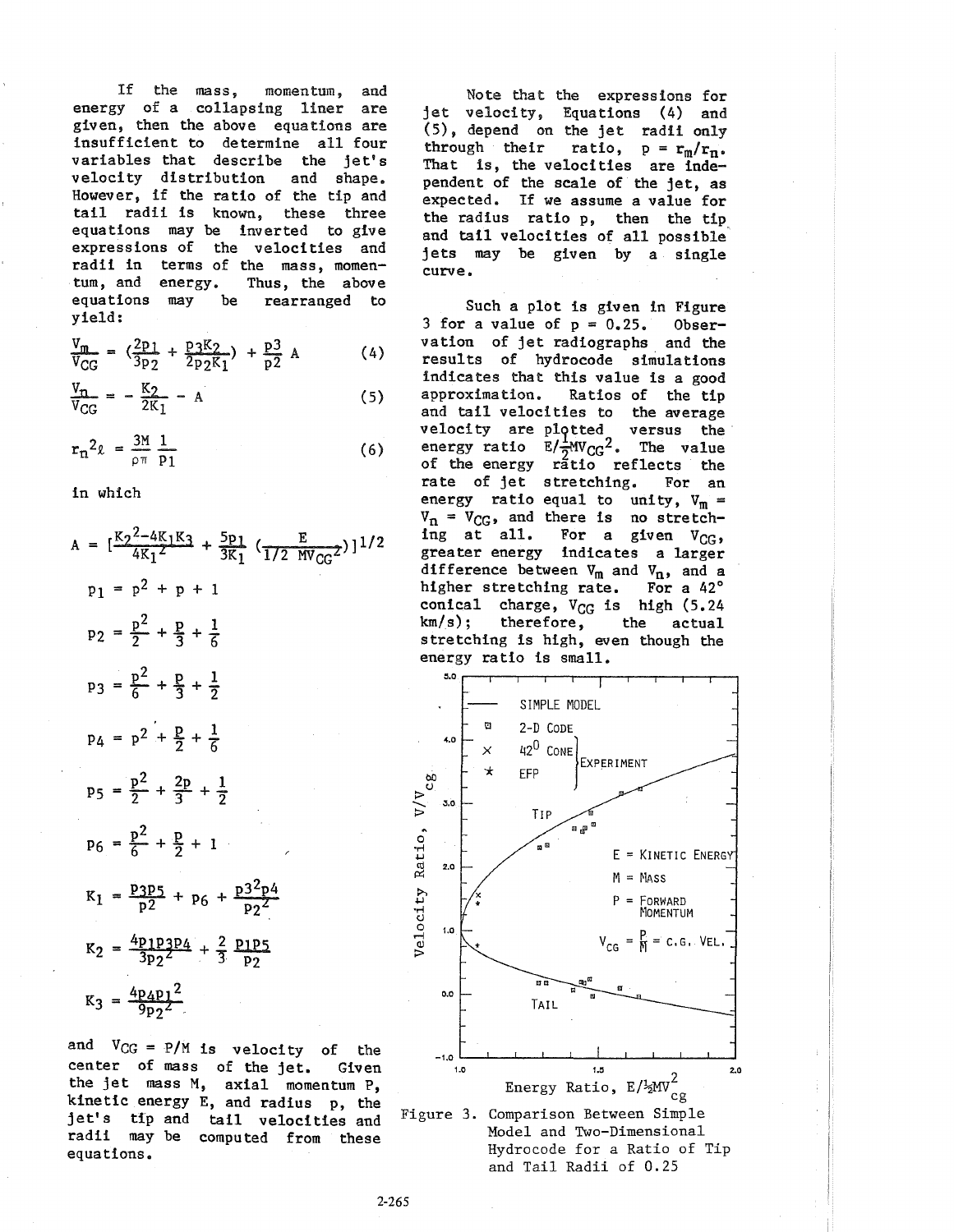If the mass, momentum, and energy of a collapsing liner are given, then the above equations are insufficient to determine all four variables that describe the jet's velocity distribution and shape. However, if the ratio of the tip and tail radii is known, these three equations may be inverted to give expressions of the velocities and radii in terms of the mass, momen-<br>tum, and energy. Thus, the above tum, and energy. Thus, the above<br>equations may be rearranged to equations may be yield:

$$
\frac{V_m}{V_{CG}} = \left(\frac{2p_1}{3p_2} + \frac{p_3 K_2}{2p_2 K_1}\right) + \frac{p_3}{p_2} A \tag{4}
$$

$$
\frac{V_{n}}{V_{CG}} = -\frac{K_{2}}{2K_{1}} - A
$$
 (5)

$$
r_n^2 \ell = \frac{3M}{\rho \pi} \frac{1}{p_1} \tag{6}
$$

in which

$$
A = \left[\frac{K_{2}^{2} - 4K_{1}K_{3}}{4K_{1}^{2}} + \frac{5p_{1}}{3K_{1}} \left(\frac{E}{1/2 \text{ MV}_{GG}}\right)\right]^{1/2}
$$
\n
$$
p_{1} = p^{2} + p + 1
$$
\n
$$
p_{2} = \frac{p^{2}}{2} + \frac{p}{3} + \frac{1}{6}
$$
\n
$$
p_{3} = \frac{p^{2}}{6} + \frac{p}{3} + \frac{1}{2}
$$
\n
$$
p_{4} = p^{2} + \frac{p}{2} + \frac{1}{6}
$$
\n
$$
p_{5} = \frac{p^{2}}{2} + \frac{2p}{3} + \frac{1}{2}
$$
\n
$$
p_{6} = \frac{p^{2}}{6} + \frac{p}{2} + 1
$$
\n
$$
K_{1} = \frac{p_{3}p_{5}}{p_{2}} + p_{6} + \frac{p_{3}^{2}p_{4}}{p_{2}^{2}}
$$
\n
$$
K_{2} = \frac{4p_{1}p_{3}p_{4}}{3p_{2}^{2}} + \frac{2}{3} \frac{p_{1}p_{5}}{p_{2}}
$$
\n
$$
K_{3} = \frac{4p_{4}p_{1}^{2}}{9p_{2}^{2}}
$$

and  $V_{CG} = P/M$  is velocity of the center of mass of the jet. Given the jet mass M, axial momentum **P,**  kinetic energy E, and radius p, the jet's tip and tail velocities and radii may be computed from these equations.

Note that the expressions for jet velocity, Equations (4) and (5), depend on the jet radii only through their ratio,  $p = r_m/r_n$ . That is, the velocities are independent of the scale of the jet, as expected. If we assume a value for the radius ratio p, then the tip and tail velocities of all possible' jets may be given by a single curve.

Such a plot is given in Figure 3 for a value of  $p = 0.25$ . Observation of jet radiographs and the results of hydrocode simulations indicates that this value is a good<br>approximation. Ratios of the tip Ratios of the tip and tail velocities to the average velocity are plotted versus the energy ratio  $E/\frac{1}{2}MV_{CG}^2$ . The value of the energy ratio reflects the<br>rate of jet stretching. For an rate of jet stretching. energy ratio equal to unity,  $V_m =$  $V_n = V_{CG}$ , and there is no stretch-<br>ing at all. For a given  $V_{CG}$ , For a given  $V_{CC}$ , greater energy indicates a larger difference between  $V_m$  and  $V_n$ , and a higher stretching rate. For a 42° conical charge,  $V_{CG}$  is high (5.24 km/s); therefore, the actual therefore, the actual stretching is high, even though the energy ratio is small.



Model and Two-Dimensional Hydrocode for a Ratio of Tip and Tail Radii of 0.25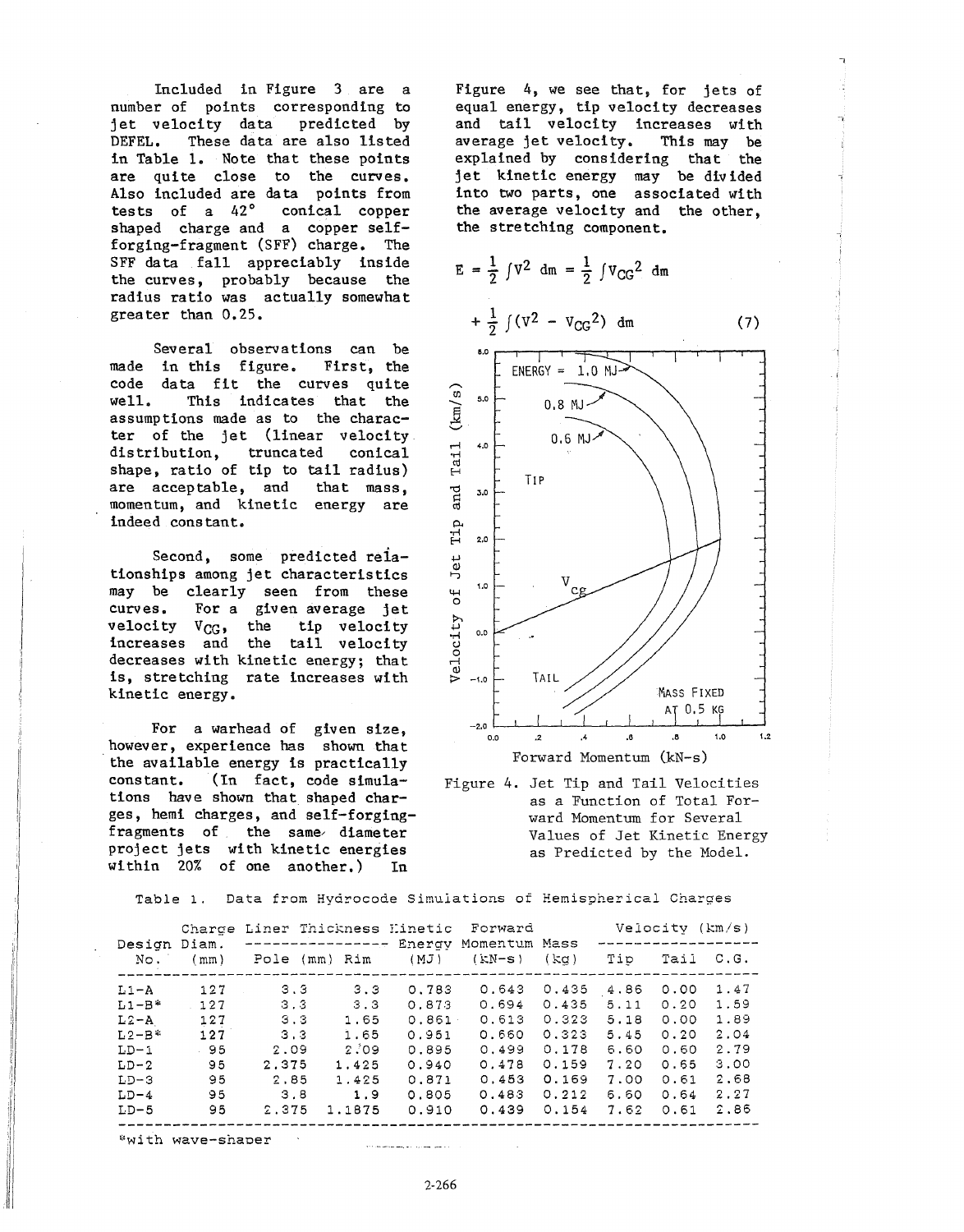Included in Figure 3 are a number of points corresponding to jet velocity data predicted by DEFEL. These data are also listed in Table 1. Note that these points are quite close to the curves. Also included are data points from tests of a 42° conical copper shaped charge and a copper selfforging-fragment (SFF) charge. The SFF data fall appreciably inside the curves, probably because the radius ratio was actually somewhat grea ter than 0.25.

made in this figure. First, the code data fit the curves quite well. Several observations can be This indicates that the assumptions made as to the character of the jet (linear velocity distribution, truncated conical shape, ratio of tip to tail radius)<br>are acceptable, and that mass, are acceptable, and momentum, and kinetic energy are indeed constant.

Second, some predicted relationships among jet characteristics may be clearly seen from these curves. For a given average jet velocity  $V_{CG}$ , the tip velocity increases and the tail velocity decreases with kinetic energy; that is, stretching rate increases with kinetic energy.

For a warhead of given size, however, experience has shown that the available energy is practically constant. (In fact, code simulations have shown that shaped charges, hemi charges, and self-forgingfragments of the same, diameter project jets with kinetic energies within 20% of one another.) In

Figure 4, we see that, for jets of equal energy, tip velocity decreases and tail velocity increases with<br>average jet velocity. This may be average jet velocity. explained by considering that the jet kinetic energy may be divided into two parts, one associated with the average velocity and the other, the stretching component.

$$
E = \frac{1}{2} \int V^2 dm = \frac{1}{2} \int V_{CG}^2 dm
$$
  
+  $\frac{1}{2} \int (V^2 - V_{CG}^2) dm$  (7)



Figure 4. Jet Tip and Tail Velocities as a Function of Total Forward Momentum for Several Values of Jet Kinetic Energy as Predicted by the Model.

Table 1. Data from Hydrocode Simulations of Hemispherical Charges

| Design<br>No. | Diam.<br>(mm) | Charde Liner Thickness Hinetic Forward<br>----------------- |          |                |                           |       | Velocity $(km/s)$ |      |      |
|---------------|---------------|-------------------------------------------------------------|----------|----------------|---------------------------|-------|-------------------|------|------|
|               |               | Pole                                                        | (mm) Rim | Energy<br>(MJ) | Momentum Mass<br>$(KN-S)$ | (ka)  | Tip               | Tail | C.G. |
| $L1 - A$      | 127           | 3.3                                                         | 3.3      | 0.783          | 0.643                     | 0.435 | 4.86              | 0.00 | 1.47 |
| $L1-B*$       | 127           | 3 <sub>3</sub>                                              | 3.3      | 0.873          | 0.694                     | 0.435 | 5.11              | 0.20 | 1.59 |
| $L2 - A$      | 127           | 3.3                                                         | 1.65     | 0.861          | 0.613                     | 0.323 | 5.18              | 0.00 | 1.89 |
| $L2-B$ *      | 127           | 3.3                                                         | 1.65     | 0.951          | 0.660                     | 0.323 | 5.45              | 0.20 | 2.04 |
| $LD-1$        | 95            | 2.09                                                        | 2.09     | 0.895          | 0.499                     | 0.178 | 6.60              | 0.60 | 2.79 |
| $LD-2$        | 95            | 2.375                                                       | 1.425    | 0.940          | 0.478                     | 0.159 | 7.20              | 0.65 | 3.00 |
| $LD-3$        | 95            | 2.85                                                        | 1.425    | 0.871          | 0.453                     | 0.169 | 7.00              | 0.61 | 2.68 |
| $LD-4$        | 95            | 3.8                                                         | 1.9      | 0.805          | 0.483                     | 0.212 | 6.60              | 0.64 | 2.27 |
| $LD-5$        | 95            | 2.375                                                       | 1.1875   | 0.910          | 0.439                     | 0.154 | 7.62              | 0.61 | 2,86 |

\*with wave-shaper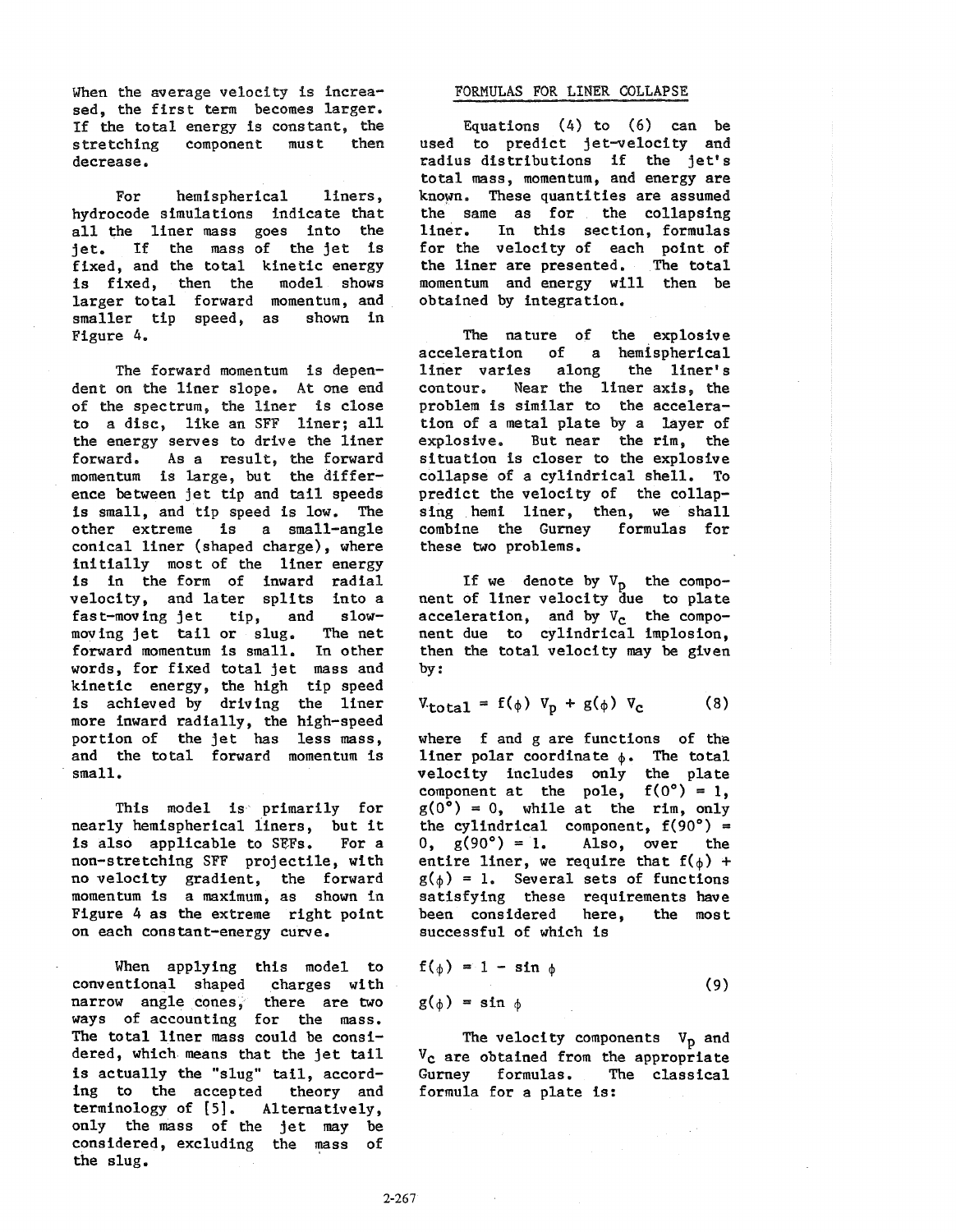When the average velocity is increased, the first term becomes larger. If the total energy is constant, the stretching decrease.

For hemispherical liners, hydrocode simulations indicate that all the liner mass goes into the jet. If the mass of the jet is fixed, and the total kinetic energy is fixed, then the model shows larger total forward momentum, and<br>smaller tip speed, as shown in smaller tip speed, as Figure 4.

The forward momentum is dependent on the liner slope. At one end of the spectrum, the liner is close to a disc, like an SFF liner; all the energy serves to drive the liner forward. As a result, the forward momentum is large, but the difference between jet tip and tail speeds is small, and tip speed is low. The<br>other extreme is a small-angle is a small-angle conical liner (shaped charge), where initially most of the liner energy is in the form of inward radial velocity, and later splits into a fast-moving jet tip, and slowmoving jet tail or slug. The net<br>forward momentum is small. In other forward momentum is small. words, for fixed total jet mass and kinetic energy, the high tip speed is achieved by driving the liner more inward radially, the high-speed portion of the jet has less mass, and the total forward momentum is small.

This model is primarily for nearly hemispherical liners, but it<br>is also applicable to SEFs. For a is also applicable to SEFs. non-stretching SFF projectile, with no velocity gradient, the forward momentum is a maximum, as shown in Figure 4 as the extreme right point on each constant-energy curve.

When applying this model to conventional shaped charges with narrow angle cones, there are two ways of accounting for the mass. The total liner mass could be considered, which means that the jet tail is actually the "slug" tail, according to the accepted theory and terminology of [5]. Alternatively, only the mass of the jet may be considered, excluding the mass of the slug.

## FORMULAS FOR LINER COLLAPSE

Equations  $(4)$  to  $(6)$  can be used to predict jet-velocity and radius distributions if the jet's total mass, momentum, and energy are known. These quantities are assumed the same as for the collapsing liner. In this section, formulas for the velocity of each point of the liner are presented. The total momentum and energy will then be obtained by integration.

The nature of the explosive<br>acceleration of a hemispherical acceleration of a hemispherical<br>liner varies along the liner's liner varies along the liner's<br>contour. Near the liner axis, the Near the liner axis, the problem is similar to the acceleration of a metal plate by a layer of explosive. But near the rim, the situation is closer to the explosive collapse of a cylindrical shell. To predict the velocity of the collapsing hemi liner, then, we shall<br>combine the Gurney formulas for combine the Gurney these two problems.

If we denote by  $V_p$  the component of liner velocity due to plate acceleration, and by  $V_c$  the component due to cylindrical implosion, then the total velocity may be given by:

$$
V_{\text{total}} = f(\phi) V_{\text{p}} + g(\phi) V_{\text{c}} \qquad (8)
$$

where f and g are functions of the liner polar coordinate  $\phi$ . The total velocity includes only the plate component at the pole,  $f(0^{\circ}) = 1$ ,  $g(0^{\circ}) = 0$ , while at the rim, only the cylindrical component,  $f(90^{\circ}) = 0$ ,  $g(90^{\circ}) = 1$ . Also, over the Also, over the entire liner, we require that  $f(\phi)$  +  $g(\phi) = 1$ . Several sets of functions satisfying these requirements have been considered here, the most successful of which is

$$
f(\phi) = 1 - \sin \phi
$$
  
g(\phi) = \sin \phi (9)

The velocity components  $V_p$  and  $V_c$  are obtained from the appropriate Gurney formulas. The classical formula for a plate is: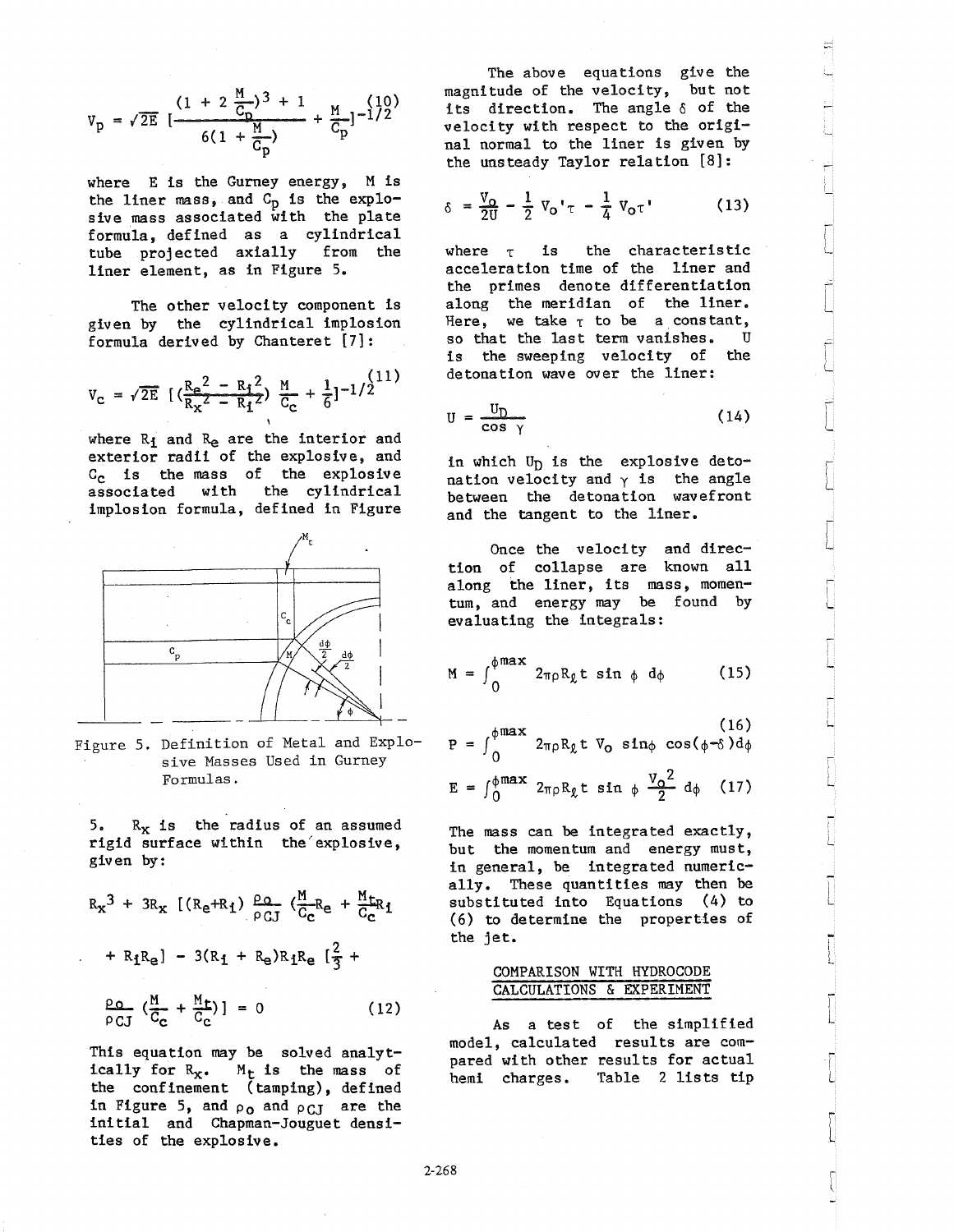$$
v_p = \sqrt{2E} \left[ \frac{(1 + 2 \frac{M}{C_p})^3 + 1}{6(1 + \frac{M}{C_p})} + \frac{M}{C_p} \right]^{-1/2}
$$

where E is the Gurney energy, M is the liner mass, and C<sub>p</sub> is the explosive mass associated with the plate formula, defined as a cylindrical tube projected axially from the liner element, as in Figure 5.

The other velocity component is given by the cylindrical implosion formula derived by Chanteret [7]:

$$
V_C = \sqrt{2E} \left[ \left( \frac{Re^2 - R_1^2}{R_x^2 - R_1^2} \right) \frac{M}{C_C} + \frac{1}{6} \right]^{-1/2} \frac{(11)}{}
$$

where R<sub>i</sub> and R<sub>e</sub> are the interior and exterior radii of the explosive, and C<sub>c</sub> is the mass of the explosive associated with the cylindrical implosion formula, defined in Figure



Figure 5. Definition of Metal and Explosive Masses Used in Gurney Formulas.

5.  $R_X$  is the radius of an assumed rigid surface within the explosive, given by:

$$
R_X^3 + 3R_X \left[ (R_e + R_1) \frac{\rho_Q}{\rho_{GI}} \left( \frac{M}{C_c} R_e + \frac{M_{LR}}{C_c} I \right) \right]
$$
  
+ 
$$
R_1 R_e \left[ -3(R_1 + R_e) R_1 R_e \left[ \frac{2}{3} + \frac{Q_Q}{C_c} \left( \frac{M}{C_c} + \frac{M_{L}}{C_c} \right) \right] \right] = 0
$$
 (12)

This equation may be solved analytically for  $R_x$ .  $M_t$  is the mass of the confinement (tamping), defined in Figure 5, and  $\rho_0$  and  $\rho_{CJ}$  are the initial and Chapman-Jouguet densities of the explosive.

The above equations give the magnitude of the velocity, but not its direction. The angle  $\delta$  of the velocity with respect to the original normal to the liner is given by the unsteady Taylor relation [8J:

$$
\delta = \frac{V_0}{2U} - \frac{1}{2} V_0' \tau - \frac{1}{4} V_0 \tau'
$$
 (13)

I L

 $\dot{r}$ L

 $\begin{bmatrix} \phantom{-} \end{bmatrix}$ 

 $\begin{bmatrix} \phantom{-} \end{bmatrix}$ 

I L

-, l

i L

i L

.<br>آ L

L

i L

r L

.<br>1 f L

<u>,</u> l

where  $\tau$  is the characteristic acceleration time of the liner and the primes denote differentiation along the meridian of the liner. Here, we take  $\tau$  to be a constant,<br>so that the last term vanishes. If so that the last term vanishes. is the sweeping velocity of the detonation wave over the liner:

$$
U = \frac{U_D}{\cos \gamma} \tag{14}
$$

in which  $U_D$  is the explosive detonation velocity and  $\gamma$  is the angle between the detonation wavefront and the tangent to the liner.

Once the velocity and direction of collapse are known all along the liner, its mass, momentum, and energy may be found by evaluating the integrals:

$$
M = \int_0^{\phi \max} 2\pi \rho R_g t \sin \phi d\phi \qquad (15)
$$

$$
P = \int_0^{\phi \text{max}} 2_{\pi \rho} R_{\ell} t V_0 \sin \phi \cos(\phi - \delta) d\phi
$$
  

$$
E = \int_0^{\phi \text{max}} 2_{\pi \rho} R_{\ell} t \sin \phi \frac{V_0^2}{2} d\phi
$$
 (17)

The mass can be integrated exactly, but the momentum and energy must, in general, be integrated numerically. These quantities may then be substituted into Equations (4) to (6) to determine the properties of the jet.

## COMPARISON WITH HYDROCODE CALCULATIONS & EXPERIMENT

As a test of the simplified model, calculated results are compared with other results for actual hemi charges. Table 2 lists tip

2-268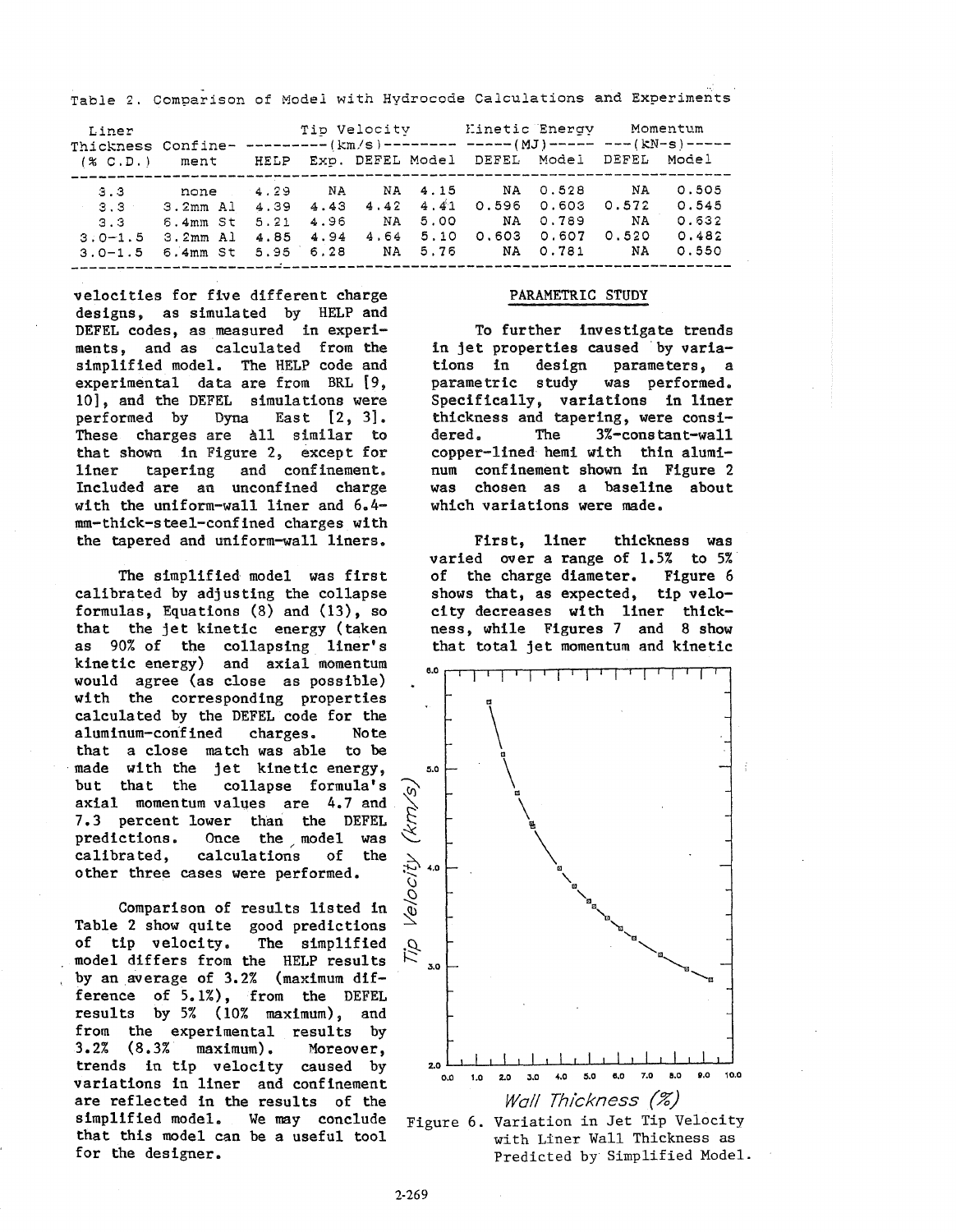Table 2. Comparison of Model with Hydrocode Calculations and Experiments

| Liner        |                                                    | Tip Velocity Minetic Energy<br>Thickness Confine- --------- ( $km/s$ ) --------- ----- (MJ) ----- --- (kN-s) ----- |       |      |         |                                   |          | Momentum    |       |
|--------------|----------------------------------------------------|--------------------------------------------------------------------------------------------------------------------|-------|------|---------|-----------------------------------|----------|-------------|-------|
| (X, C, D, I) | ment                                               |                                                                                                                    |       |      |         | HELP Exp. DEFEL Model DEFEL Model |          | DEFEL Model |       |
| 3.3          | none                                               | 4.29                                                                                                               | NA NA |      | NA 4.15 | NA 0.528                          |          | NA.         | 0.505 |
| $-3.3$       | $3.2mm$ Al $4.39$ $4.43$ $4.42$ $4.41$ 0.596 0.603 |                                                                                                                    |       |      |         |                                   |          | 0.572       | 0.545 |
| 3.3          | 6.4mm St                                           | 5.21                                                                                                               | 4.96  | NA.  | 5.00    |                                   | NA 0.789 | <b>NA</b>   | 0.632 |
| $3.0 - 1.5$  | 3.2mm Al                                           | 4.85 4.94                                                                                                          |       | 4.64 | 5.10    | 0.603                             | 0.607    | 0.520       | 0.482 |
| $3.0 - 1.5$  | 6.4mm St 5.95 6.28                                 |                                                                                                                    |       |      | NA 5.76 |                                   | NA 0.781 | NA          | 0.550 |

----------------------~------------------------------- ------------------

velocities for five different charge designs, as simulated by HELP and DEFEL codes, as measured in experiments, and as calculated from the simplified model. The HELP code and experimental data are from BRL [9, 10], and the DEFEL simulations were<br>performed by Dyna East [2, 3]. Dyna East  $[2, 3]$ . These charges are All similar to that shown in Figure 2, except for and confinement. Included are an unconfined charge with the uniform-wall liner and 6.4 mm-thick-steel-confined charges with the tapered and uniform-wall liners.

The simplified model was first calibrated by adjusting the collapse formulas, Equations (8) and (13), so that the jet kinetic energy (taken as 90% of the collapsing liner's kinetic energy) and axial momentum would agree (as close as possible) with the corresponding properties calculated by the DEFEL code for the aluminum-confined charges. Note that a close match was able to be made with the jet kinetic energy,<br>but that the collapse formula's collapse formula's axial momentum values are 4.7 and 7.3 percent lower than the DEFEL predictions. Once the model was calibrated, calculations of the other three cases were performed.

Comparison of results listed in Table 2 show quite good predictions of tip velocity. The simplified model differs from the HELP results by an average of 3.2% (maximum difference of 5.1%), from the DEFEL results by 5% (10% maximum), and from the experimental results by 3.2% (8.3% maximum). Moreover, trends in tip velocity caused by variations in liner and confinement are reflected in the results of the simplified model. We may conclude that this model can be a useful tool for the designer.

## PARAMETRIC STUDY

To further investigate trends in jet properties caused by varia-<br>tions in design parameters, a design parameters, a parametric study was performed. Specifically, variations in liner thickness and tapering, were consi-<br>dered. The 3%-constant-wall dered. The 3%-constant-wall copper-lined hemi with thin aluminum confinement shown in Figure 2 was chosen as a baseline about which variations were made.

First, liner thickness was varied over a range of 1.5% to 5%<br>of the charge diameter. Figure 6 of the charge diameter. shows that, as expected, tip velocity decreases with liner thickness, while Figures 7 and 8 show that total jet momentum and kinetic



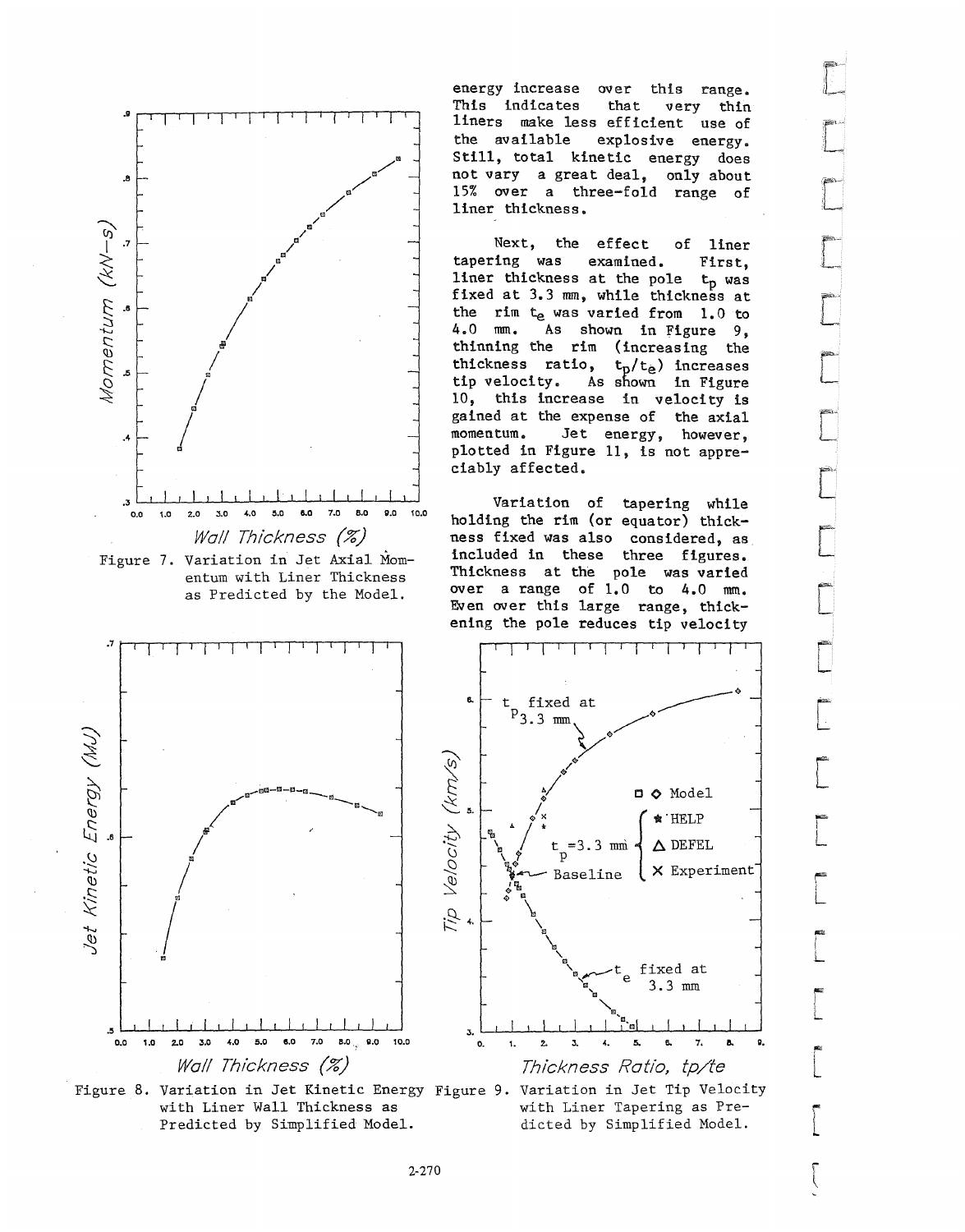



energy increase over this range. This indicates that very thin liners make less efficient use of<br>the available explosive energy. explosive energy. Still, total kinetic energy does not vary a great deal, only about 15% over a three-fold range of liner thickness.

Next, the effect of liner tapering was examined. First, liner thickness at the pole  $t_p$  was fixed at 3.3 mm, while thickness at the rim  $t_e$  was varied from 1.0 to 4.0 mm. As shown in Figure 9. As shown in Figure 9, thinning the rim (increasing the thickness ratio,  $t_p/t_e$ ) increases tip velocity. As shown in Figure 10, this increase in velocity is gained at the expense of the axial momentum. Jet energy, however, plotted in Figure 11, is not appreciably affected.

Variation of tapering while holding the rim (or equator) thickness fixed was also considered, as included in these three figures. Thickness at the pole was varied over a range of  $1.0$  to  $4.0$  mm. Even over this large range, thickening the pole reduces tip velocity







[

f""< L

**|**<br>|<br>|-

 $\overline{\mathbb{L}}$ 

i" L

"" "" ""<br>|<br>| L

 $\overline{\phantom{a}}$ 

 $\overline{\phantom{a}}$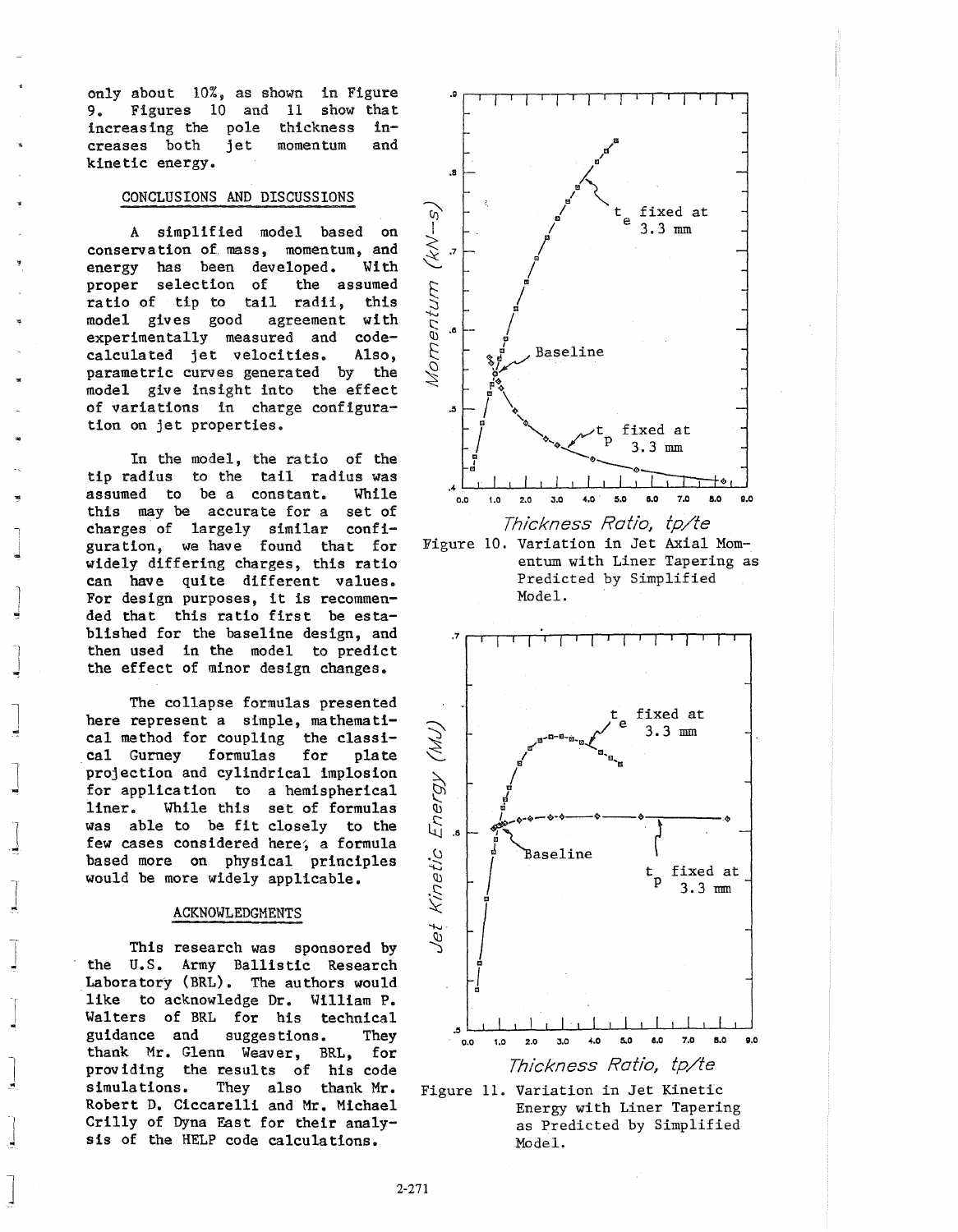only about 10%, as shown in Figure 9. Figures 10 and 11 show that increasing the pole thickness increases both jet momentum and kinetic energy.

## CONCLUSIONS AND DISCUSSIONS

A simplified model based on conservation of mass, momentum, and<br>energy has been developed. With energy has been developed. proper selection of the assumed ratio of tip to tail radii, this model gives good agreement with experimentally measured and codecalculated jet velocities. Also, parametric curves generated by the model give insight into the effect of variations in charge configuration on jet properties.

In the model, the ratio of the tip radius to the tail radius was assumed to be a constant. While this may be accurate for a set of charges of largely similar configuration, we have found that for widely differing charges, this ratio can have quite different values. For design purposes, it is recommended that this ratio first be established for the baseline design, and then used in the model to predict the effect of minor design changes.

J

 $\overline{\phantom{a}}$ 

 $\overline{\phantom{a}}$ 

 $\overline{\phantom{a}}$ 

 $\int$ 

 $\overline{\phantom{a}}$ 

 $\frac{1}{2}$ 

J

 $\perp$ 

 $\frac{1}{2}$ 

 $\int$ 

The collapse formulas presented here represent a simple, mathematical method for coupling the classi-<br>cal Gurney formulas for plate cal Gurney formulas for projection and cylindrical implosion for application to a hemispherical liner. While this set of formulas was able to be fit closely to the few cases considered here, a formula based more on physical principles would be more widely applicable.

## ACKNOWLEDGMENTS

This research was sponsored by the U.S. Army Ballistic Research Laboratory (BRL). The authors would like to acknowledge Dr. William P. Walters of BRL for his technical guidance and suggestions. They thank Mr. Glenn Weaver, BRL, for providing the results of his code simulations. They also thank Mr. Robert D. Ciccarelli and Mr. Michael Crilly of Dyna East for their analysis of the HELP code calculations.



Model.